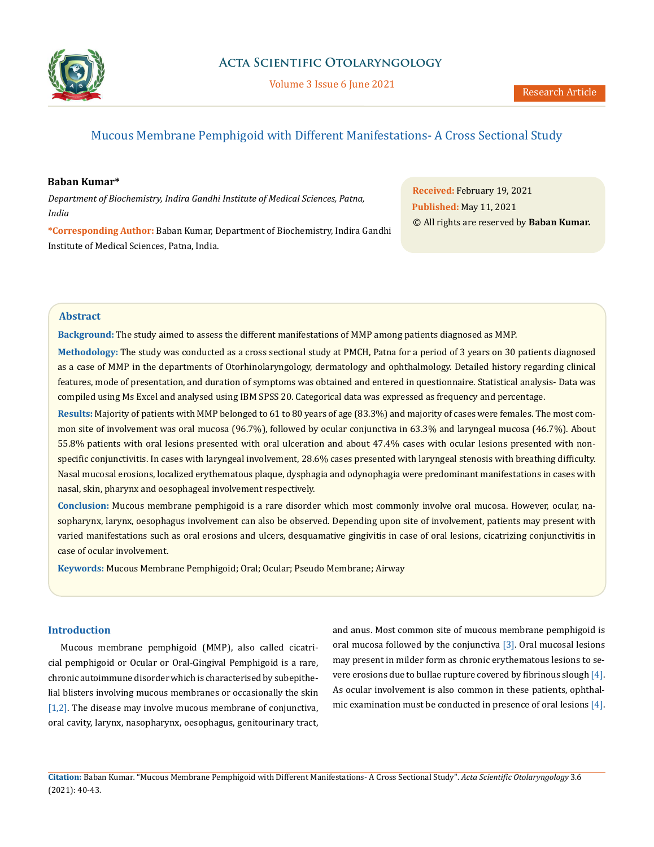

# Mucous Membrane Pemphigoid with Different Manifestations- A Cross Sectional Study

# **Baban Kumar\***

*Department of Biochemistry, Indira Gandhi Institute of Medical Sciences, Patna, India* 

**\*Corresponding Author:** Baban Kumar, Department of Biochemistry, Indira Gandhi Institute of Medical Sciences, Patna, India.

**Received:** February 19, 2021 **Published:** May 11, 2021 © All rights are reserved by **Baban Kumar.**

### **Abstract**

**Background:** The study aimed to assess the different manifestations of MMP among patients diagnosed as MMP.

**Methodology:** The study was conducted as a cross sectional study at PMCH, Patna for a period of 3 years on 30 patients diagnosed as a case of MMP in the departments of Otorhinolaryngology, dermatology and ophthalmology. Detailed history regarding clinical features, mode of presentation, and duration of symptoms was obtained and entered in questionnaire. Statistical analysis- Data was compiled using Ms Excel and analysed using IBM SPSS 20. Categorical data was expressed as frequency and percentage.

**Results:** Majority of patients with MMP belonged to 61 to 80 years of age (83.3%) and majority of cases were females. The most common site of involvement was oral mucosa (96.7%), followed by ocular conjunctiva in 63.3% and laryngeal mucosa (46.7%). About 55.8% patients with oral lesions presented with oral ulceration and about 47.4% cases with ocular lesions presented with nonspecific conjunctivitis. In cases with laryngeal involvement, 28.6% cases presented with laryngeal stenosis with breathing difficulty. Nasal mucosal erosions, localized erythematous plaque, dysphagia and odynophagia were predominant manifestations in cases with nasal, skin, pharynx and oesophageal involvement respectively.

**Conclusion:** Mucous membrane pemphigoid is a rare disorder which most commonly involve oral mucosa. However, ocular, nasopharynx, larynx, oesophagus involvement can also be observed. Depending upon site of involvement, patients may present with varied manifestations such as oral erosions and ulcers, desquamative gingivitis in case of oral lesions, cicatrizing conjunctivitis in case of ocular involvement.

**Keywords:** Mucous Membrane Pemphigoid; Oral; Ocular; Pseudo Membrane; Airway

# **Introduction**

Mucous membrane pemphigoid (MMP), also called cicatricial pemphigoid or Ocular or Oral-Gingival Pemphigoid is a rare, chronic autoimmune disorder which is characterised by subepithelial blisters involving mucous membranes or occasionally the skin [1,2]. The disease may involve mucous membrane of conjunctiva, oral cavity, larynx, nasopharynx, oesophagus, genitourinary tract,

and anus. Most common site of mucous membrane pemphigoid is oral mucosa followed by the conjunctiva [3]. Oral mucosal lesions may present in milder form as chronic erythematous lesions to severe erosions due to bullae rupture covered by fibrinous slough [4]. As ocular involvement is also common in these patients, ophthalmic examination must be conducted in presence of oral lesions [4].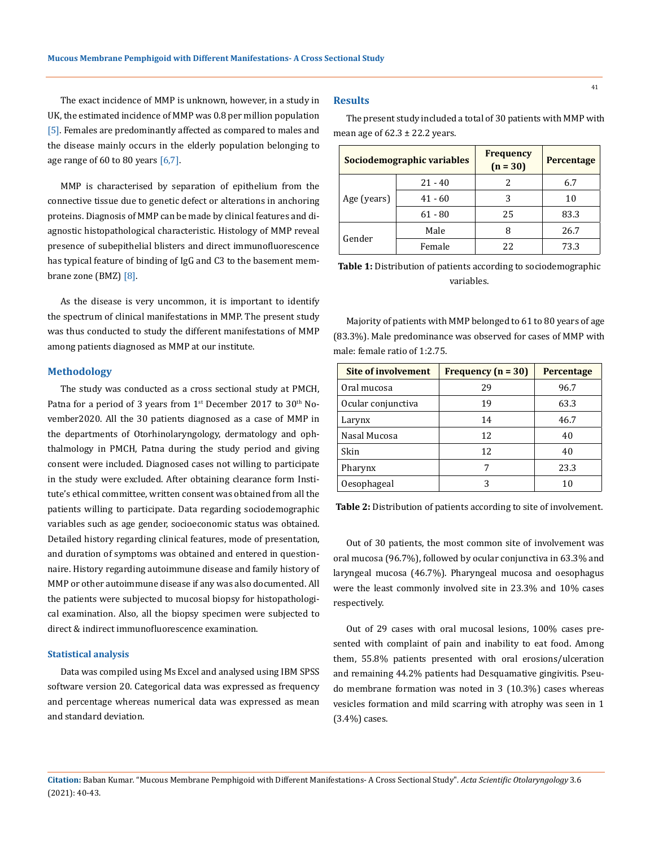The exact incidence of MMP is unknown, however, in a study in UK, the estimated incidence of MMP was 0.8 per million population [5]. Females are predominantly affected as compared to males and the disease mainly occurs in the elderly population belonging to age range of  $60$  to  $80$  years  $[6,7]$ .

MMP is characterised by separation of epithelium from the connective tissue due to genetic defect or alterations in anchoring proteins. Diagnosis of MMP can be made by clinical features and diagnostic histopathological characteristic. Histology of MMP reveal presence of subepithelial blisters and direct immunofluorescence has typical feature of binding of IgG and C3 to the basement membrane zone (BMZ) [8].

As the disease is very uncommon, it is important to identify the spectrum of clinical manifestations in MMP. The present study was thus conducted to study the different manifestations of MMP among patients diagnosed as MMP at our institute.

### **Methodology**

The study was conducted as a cross sectional study at PMCH, Patna for a period of 3 years from  $1<sup>st</sup>$  December 2017 to 30<sup>th</sup> November2020. All the 30 patients diagnosed as a case of MMP in the departments of Otorhinolaryngology, dermatology and ophthalmology in PMCH, Patna during the study period and giving consent were included. Diagnosed cases not willing to participate in the study were excluded. After obtaining clearance form Institute's ethical committee, written consent was obtained from all the patients willing to participate. Data regarding sociodemographic variables such as age gender, socioeconomic status was obtained. Detailed history regarding clinical features, mode of presentation, and duration of symptoms was obtained and entered in questionnaire. History regarding autoimmune disease and family history of MMP or other autoimmune disease if any was also documented. All the patients were subjected to mucosal biopsy for histopathological examination. Also, all the biopsy specimen were subjected to direct & indirect immunofluorescence examination.

### **Statistical analysis**

Data was compiled using Ms Excel and analysed using IBM SPSS software version 20. Categorical data was expressed as frequency and percentage whereas numerical data was expressed as mean and standard deviation.

#### **Results**

The present study included a total of 30 patients with MMP with mean age of  $62.3 \pm 22.2$  years.

| Sociodemographic variables |           | <b>Frequency</b><br>$(n = 30)$ | Percentage |
|----------------------------|-----------|--------------------------------|------------|
| Age (years)                | $21 - 40$ |                                | 6.7        |
|                            | $41 - 60$ | 3                              | 10         |
|                            | $61 - 80$ | 25                             | 83.3       |
| Gender                     | Male      | Я                              | 26.7       |
|                            | Female    | 22                             | 73.3       |

**Table 1:** Distribution of patients according to sociodemographic variables.

Majority of patients with MMP belonged to 61 to 80 years of age (83.3%). Male predominance was observed for cases of MMP with male: female ratio of 1:2.75.

| Site of involvement | Frequency $(n = 30)$ | Percentage |
|---------------------|----------------------|------------|
| Oral mucosa         | 29                   | 96.7       |
| Ocular conjunctiva  | 19                   | 63.3       |
| Larynx              | 14                   | 46.7       |
| Nasal Mucosa        | 12                   | 40         |
| <b>Skin</b>         | 12                   | 40         |
| Pharynx             | 7                    | 23.3       |
| Oesophageal         |                      |            |

**Table 2:** Distribution of patients according to site of involvement.

Out of 30 patients, the most common site of involvement was oral mucosa (96.7%), followed by ocular conjunctiva in 63.3% and laryngeal mucosa (46.7%). Pharyngeal mucosa and oesophagus were the least commonly involved site in 23.3% and 10% cases respectively.

Out of 29 cases with oral mucosal lesions, 100% cases presented with complaint of pain and inability to eat food. Among them, 55.8% patients presented with oral erosions/ulceration and remaining 44.2% patients had Desquamative gingivitis. Pseudo membrane formation was noted in 3 (10.3%) cases whereas vesicles formation and mild scarring with atrophy was seen in 1 (3.4%) cases.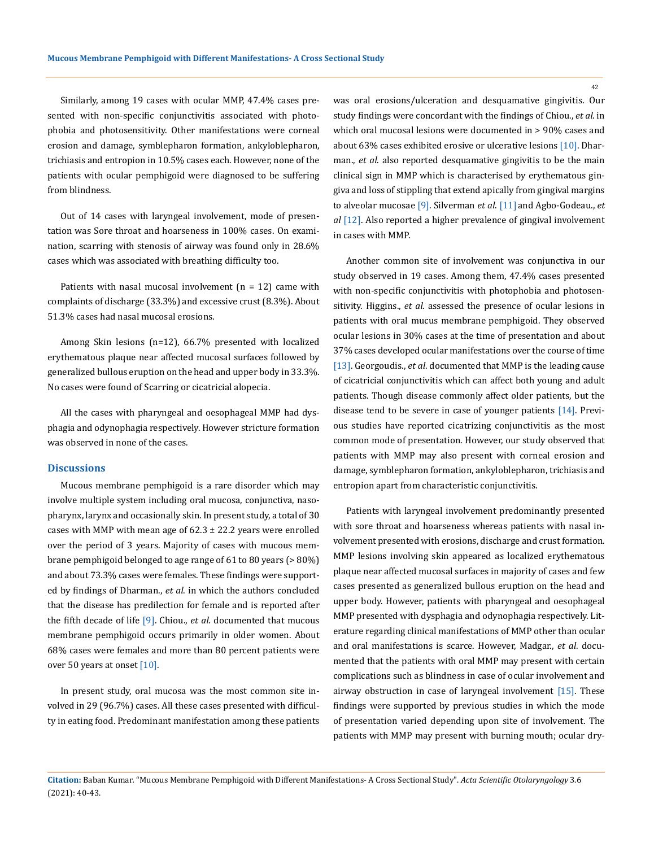Similarly, among 19 cases with ocular MMP, 47.4% cases presented with non-specific conjunctivitis associated with photophobia and photosensitivity. Other manifestations were corneal erosion and damage, symblepharon formation, ankyloblepharon, trichiasis and entropion in 10.5% cases each. However, none of the patients with ocular pemphigoid were diagnosed to be suffering from blindness.

Out of 14 cases with laryngeal involvement, mode of presentation was Sore throat and hoarseness in 100% cases. On examination, scarring with stenosis of airway was found only in 28.6% cases which was associated with breathing difficulty too.

Patients with nasal mucosal involvement  $(n = 12)$  came with complaints of discharge (33.3%) and excessive crust (8.3%). About 51.3% cases had nasal mucosal erosions.

Among Skin lesions (n=12), 66.7% presented with localized erythematous plaque near affected mucosal surfaces followed by generalized bullous eruption on the head and upper body in 33.3%. No cases were found of Scarring or cicatricial alopecia.

All the cases with pharyngeal and oesophageal MMP had dysphagia and odynophagia respectively. However stricture formation was observed in none of the cases.

#### **Discussions**

Mucous membrane pemphigoid is a rare disorder which may involve multiple system including oral mucosa, conjunctiva, nasopharynx, larynx and occasionally skin. In present study, a total of 30 cases with MMP with mean age of  $62.3 \pm 22.2$  years were enrolled over the period of 3 years. Majority of cases with mucous membrane pemphigoid belonged to age range of 61 to 80 years (> 80%) and about 73.3% cases were females. These findings were supported by findings of Dharman., *et al*. in which the authors concluded that the disease has predilection for female and is reported after the fifth decade of life [9]. Chiou., *et al*. documented that mucous membrane pemphigoid occurs primarily in older women. About 68% cases were females and more than 80 percent patients were over 50 years at onset [10].

In present study, oral mucosa was the most common site involved in 29 (96.7%) cases. All these cases presented with difficulty in eating food. Predominant manifestation among these patients was oral erosions/ulceration and desquamative gingivitis. Our study findings were concordant with the findings of Chiou., *et al*. in which oral mucosal lesions were documented in > 90% cases and about 63% cases exhibited erosive or ulcerative lesions [10]. Dharman., *et al*. also reported desquamative gingivitis to be the main clinical sign in MMP which is characterised by erythematous gingiva and loss of stippling that extend apically from gingival margins to alveolar mucosae [9]. Silverman *et al*. [11] and Agbo-Godeau., *et al* [12]. Also reported a higher prevalence of gingival involvement in cases with MMP.

Another common site of involvement was conjunctiva in our study observed in 19 cases. Among them, 47.4% cases presented with non-specific conjunctivitis with photophobia and photosensitivity. Higgins., *et al*. assessed the presence of ocular lesions in patients with oral mucus membrane pemphigoid. They observed ocular lesions in 30% cases at the time of presentation and about 37% cases developed ocular manifestations over the course of time [13]. Georgoudis., *et al*. documented that MMP is the leading cause of cicatricial conjunctivitis which can affect both young and adult patients. Though disease commonly affect older patients, but the disease tend to be severe in case of younger patients [14]. Previous studies have reported cicatrizing conjunctivitis as the most common mode of presentation. However, our study observed that patients with MMP may also present with corneal erosion and damage, symblepharon formation, ankyloblepharon, trichiasis and entropion apart from characteristic conjunctivitis.

Patients with laryngeal involvement predominantly presented with sore throat and hoarseness whereas patients with nasal involvement presented with erosions, discharge and crust formation. MMP lesions involving skin appeared as localized erythematous plaque near affected mucosal surfaces in majority of cases and few cases presented as generalized bullous eruption on the head and upper body. However, patients with pharyngeal and oesophageal MMP presented with dysphagia and odynophagia respectively. Literature regarding clinical manifestations of MMP other than ocular and oral manifestations is scarce. However, Madgar., *et al*. documented that the patients with oral MMP may present with certain complications such as blindness in case of ocular involvement and airway obstruction in case of laryngeal involvement [15]. These findings were supported by previous studies in which the mode of presentation varied depending upon site of involvement. The patients with MMP may present with burning mouth; ocular dry-

42

**Citation:** Baban Kumar*.* "Mucous Membrane Pemphigoid with Different Manifestations- A Cross Sectional Study". *Acta Scientific Otolaryngology* 3.6 (2021): 40-43.